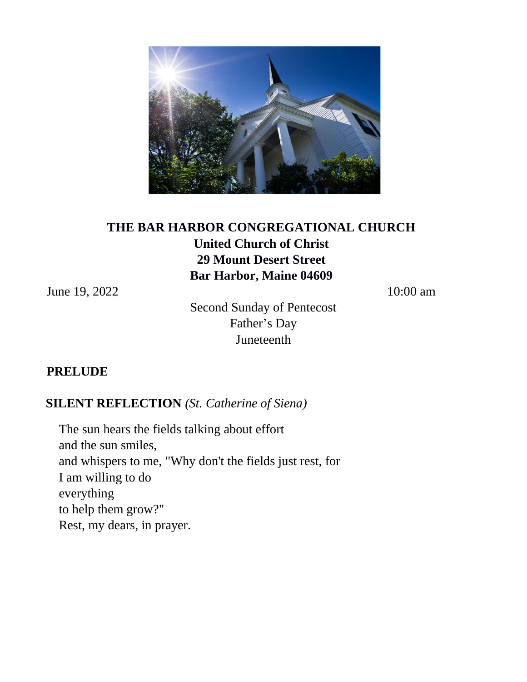

# **THE BAR HARBOR CONGREGATIONAL CHURCH United Church of Christ 29 Mount Desert Street Bar Harbor, Maine 04609**

June 19, 2022 10:00 am

Second Sunday of Pentecost Father's Day Juneteenth

## **PRELUDE**

**SILENT REFLECTION** *(St. Catherine of Siena)*

The sun hears the fields talking about effort and the sun smiles, and whispers to me, "Why don't the fields just rest, for I am willing to do everything to help them grow?" Rest, my dears, in prayer.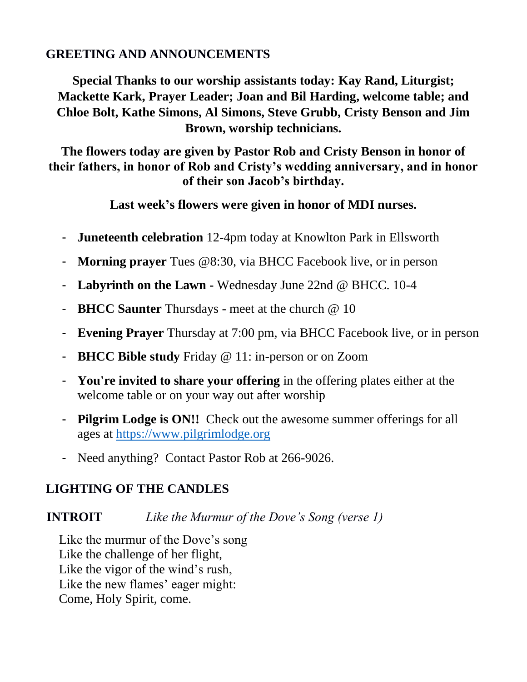## **GREETING AND ANNOUNCEMENTS**

**Special Thanks to our worship assistants today: Kay Rand, Liturgist; Mackette Kark, Prayer Leader; Joan and Bil Harding, welcome table; and Chloe Bolt, Kathe Simons, Al Simons, Steve Grubb, Cristy Benson and Jim Brown, worship technicians.**

**The flowers today are given by Pastor Rob and Cristy Benson in honor of their fathers, in honor of Rob and Cristy's wedding anniversary, and in honor of their son Jacob's birthday.**

**Last week's flowers were given in honor of MDI nurses.**

- **Juneteenth celebration** 12-4pm today at Knowlton Park in Ellsworth
- **Morning prayer** Tues @8:30, via BHCC Facebook live, or in person
- **Labyrinth on the Lawn -** Wednesday June 22nd @ BHCC. 10-4
- **BHCC Saunter** Thursdays meet at the church @ 10
- **Evening Prayer** Thursday at 7:00 pm, via BHCC Facebook live, or in person
- **BHCC Bible study** Friday @ 11: in-person or on Zoom
- **You're invited to share your offering** in the offering plates either at the welcome table or on your way out after worship
- **Pilgrim Lodge is ON!!** Check out the awesome summer offerings for all ages at [https://www.pilgrimlodge.org](https://www.pilgrimlodge.org/)
- Need anything? Contact Pastor Rob at 266-9026.

# **LIGHTING OF THE CANDLES**

**INTROIT** *Like the Murmur of the Dove's Song (verse 1)*

Like the murmur of the Dove's song Like the challenge of her flight, Like the vigor of the wind's rush, Like the new flames' eager might: Come, Holy Spirit, come.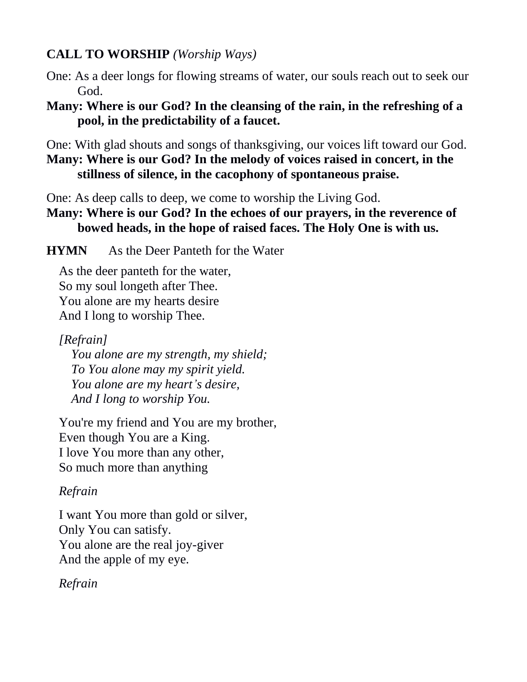## **CALL TO WORSHIP** *(Worship Ways)*

- One: As a deer longs for flowing streams of water, our souls reach out to seek our God.
- **Many: Where is our God? In the cleansing of the rain, in the refreshing of a pool, in the predictability of a faucet.**

One: With glad shouts and songs of thanksgiving, our voices lift toward our God. **Many: Where is our God? In the melody of voices raised in concert, in the stillness of silence, in the cacophony of spontaneous praise.**

One: As deep calls to deep, we come to worship the Living God.

# **Many: Where is our God? In the echoes of our prayers, in the reverence of bowed heads, in the hope of raised faces. The Holy One is with us.**

**HYMN** As the Deer Panteth for the Water

As the deer panteth for the water, So my soul longeth after Thee. You alone are my hearts desire And I long to worship Thee.

*[Refrain]*

*You alone are my strength, my shield; To You alone may my spirit yield. You alone are my heart's desire, And I long to worship You.*

You're my friend and You are my brother, Even though You are a King. I love You more than any other, So much more than anything

# *Refrain*

I want You more than gold or silver, Only You can satisfy. You alone are the real joy-giver And the apple of my eye.

*Refrain*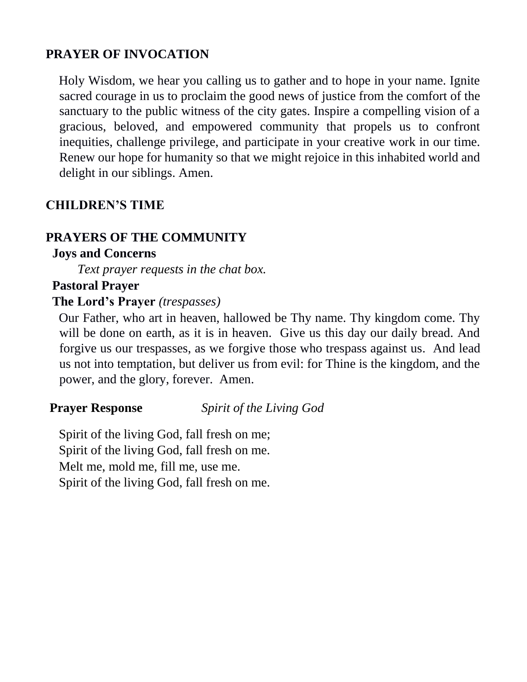## **PRAYER OF INVOCATION**

Holy Wisdom, we hear you calling us to gather and to hope in your name. Ignite sacred courage in us to proclaim the good news of justice from the comfort of the sanctuary to the public witness of the city gates. Inspire a compelling vision of a gracious, beloved, and empowered community that propels us to confront inequities, challenge privilege, and participate in your creative work in our time. Renew our hope for humanity so that we might rejoice in this inhabited world and delight in our siblings. Amen.

# **CHILDREN'S TIME**

## **PRAYERS OF THE COMMUNITY**

### **Joys and Concerns**

*Text prayer requests in the chat box.*

### **Pastoral Prayer**

## **The Lord's Prayer** *(trespasses)*

Our Father, who art in heaven, hallowed be Thy name. Thy kingdom come. Thy will be done on earth, as it is in heaven. Give us this day our daily bread. And forgive us our trespasses, as we forgive those who trespass against us. And lead us not into temptation, but deliver us from evil: for Thine is the kingdom, and the power, and the glory, forever. Amen.

## **Prayer Response** *Spirit of the Living God*

Spirit of the living God, fall fresh on me; Spirit of the living God, fall fresh on me. Melt me, mold me, fill me, use me. Spirit of the living God, fall fresh on me.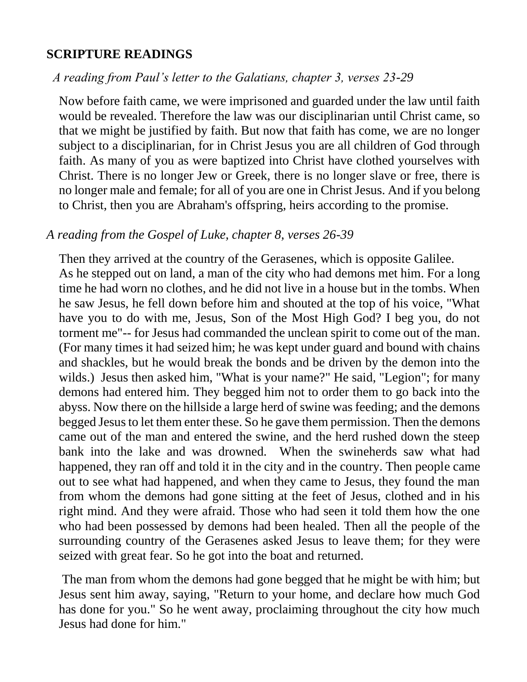## **SCRIPTURE READINGS**

### *A reading from Paul's letter to the Galatians, chapter 3, verses 23-29*

Now before faith came, we were imprisoned and guarded under the law until faith would be revealed. Therefore the law was our disciplinarian until Christ came, so that we might be justified by faith. But now that faith has come, we are no longer subject to a disciplinarian, for in Christ Jesus you are all children of God through faith. As many of you as were baptized into Christ have clothed yourselves with Christ. There is no longer Jew or Greek, there is no longer slave or free, there is no longer male and female; for all of you are one in Christ Jesus. And if you belong to Christ, then you are Abraham's offspring, heirs according to the promise.

#### *A reading from the Gospel of Luke, chapter 8, verses 26-39*

Then they arrived at the country of the Gerasenes, which is opposite Galilee. As he stepped out on land, a man of the city who had demons met him. For a long time he had worn no clothes, and he did not live in a house but in the tombs. When he saw Jesus, he fell down before him and shouted at the top of his voice, "What have you to do with me, Jesus, Son of the Most High God? I beg you, do not torment me"-- for Jesus had commanded the unclean spirit to come out of the man. (For many times it had seized him; he was kept under guard and bound with chains and shackles, but he would break the bonds and be driven by the demon into the wilds.) Jesus then asked him, "What is your name?" He said, "Legion"; for many demons had entered him. They begged him not to order them to go back into the abyss. Now there on the hillside a large herd of swine was feeding; and the demons begged Jesus to let them enter these. So he gave them permission. Then the demons came out of the man and entered the swine, and the herd rushed down the steep bank into the lake and was drowned. When the swineherds saw what had happened, they ran off and told it in the city and in the country. Then people came out to see what had happened, and when they came to Jesus, they found the man from whom the demons had gone sitting at the feet of Jesus, clothed and in his right mind. And they were afraid. Those who had seen it told them how the one who had been possessed by demons had been healed. Then all the people of the surrounding country of the Gerasenes asked Jesus to leave them; for they were seized with great fear. So he got into the boat and returned.

The man from whom the demons had gone begged that he might be with him; but Jesus sent him away, saying, "Return to your home, and declare how much God has done for you." So he went away, proclaiming throughout the city how much Jesus had done for him."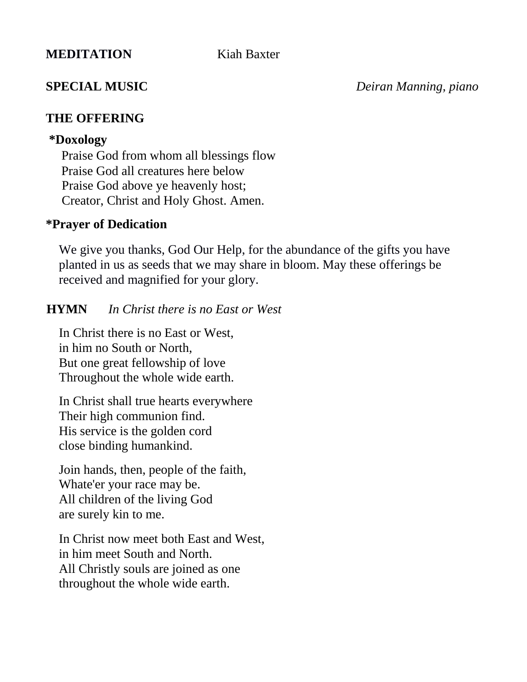**SPECIAL MUSIC** *Deiran Manning, piano*

## **THE OFFERING**

#### **\*Doxology**

Praise God from whom all blessings flow Praise God all creatures here below Praise God above ye heavenly host; Creator, Christ and Holy Ghost. Amen.

## **\*Prayer of Dedication**

We give you thanks, God Our Help, for the abundance of the gifts you have planted in us as seeds that we may share in bloom. May these offerings be received and magnified for your glory.

### **HYMN** *In Christ there is no East or West*

In Christ there is no East or West, in him no South or North, But one great fellowship of love Throughout the whole wide earth.

In Christ shall true hearts everywhere Their high communion find. His service is the golden cord close binding humankind.

Join hands, then, people of the faith, Whate'er your race may be. All children of the living God are surely kin to me.

In Christ now meet both East and West, in him meet South and North. All Christly souls are joined as one throughout the whole wide earth.